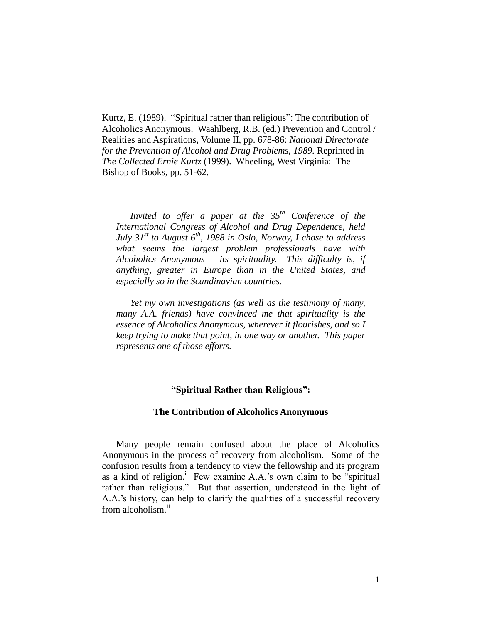Kurtz, E. (1989). "Spiritual rather than religious": The contribution of Alcoholics Anonymous. Waahlberg, R.B. (ed.) Prevention and Control / Realities and Aspirations, Volume II, pp. 678-86: *National Directorate for the Prevention of Alcohol and Drug Problems, 1989.* Reprinted in *The Collected Ernie Kurtz* (1999). Wheeling, West Virginia: The Bishop of Books, pp. 51-62.

*Invited to offer a paper at the 35th Conference of the International Congress of Alcohol and Drug Dependence, held July 31st to August 6th, 1988 in Oslo, Norway, I chose to address what seems the largest problem professionals have with Alcoholics Anonymous – its spirituality. This difficulty is, if anything, greater in Europe than in the United States, and especially so in the Scandinavian countries.* 

*Yet my own investigations (as well as the testimony of many, many A.A. friends) have convinced me that spirituality is the essence of Alcoholics Anonymous, wherever it flourishes, and so I keep trying to make that point, in one way or another. This paper represents one of those efforts.* 

## **"Spiritual Rather than Religious":**

### **The Contribution of Alcoholics Anonymous**

Many people remain confused about the place of Alcoholics Anonymous in the process of recovery from alcoholism. Some of the confusion results from a tendency to view the fellowship and its program as a kind of religion.<sup>i</sup> Few examine A.A.'s own claim to be "spiritual rather than religious." But that assertion, understood in the light of A.A.'s history, can help to clarify the qualities of a successful recovery from alcoholism.<sup>ii</sup>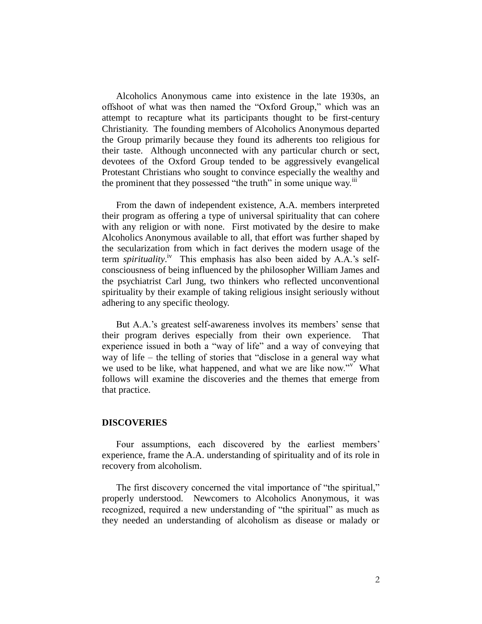Alcoholics Anonymous came into existence in the late 1930s, an offshoot of what was then named the "Oxford Group," which was an attempt to recapture what its participants thought to be first-century Christianity. The founding members of Alcoholics Anonymous departed the Group primarily because they found its adherents too religious for their taste. Although unconnected with any particular church or sect, devotees of the Oxford Group tended to be aggressively evangelical Protestant Christians who sought to convince especially the wealthy and the prominent that they possessed "the truth" in some unique way.<sup>iii</sup>

From the dawn of independent existence, A.A. members interpreted their program as offering a type of universal spirituality that can cohere with any religion or with none. First motivated by the desire to make Alcoholics Anonymous available to all, that effort was further shaped by the secularization from which in fact derives the modern usage of the term *spirituality*.<sup>iv</sup> This emphasis has also been aided by A.A.'s selfconsciousness of being influenced by the philosopher William James and the psychiatrist Carl Jung, two thinkers who reflected unconventional spirituality by their example of taking religious insight seriously without adhering to any specific theology.

But A.A.'s greatest self-awareness involves its members' sense that their program derives especially from their own experience. That experience issued in both a "way of life" and a way of conveying that way of life – the telling of stories that "disclose in a general way what we used to be like, what happened, and what we are like now."<sup>v</sup> What follows will examine the discoveries and the themes that emerge from that practice.

### **DISCOVERIES**

Four assumptions, each discovered by the earliest members' experience, frame the A.A. understanding of spirituality and of its role in recovery from alcoholism.

The first discovery concerned the vital importance of "the spiritual," properly understood. Newcomers to Alcoholics Anonymous, it was recognized, required a new understanding of "the spiritual" as much as they needed an understanding of alcoholism as disease or malady or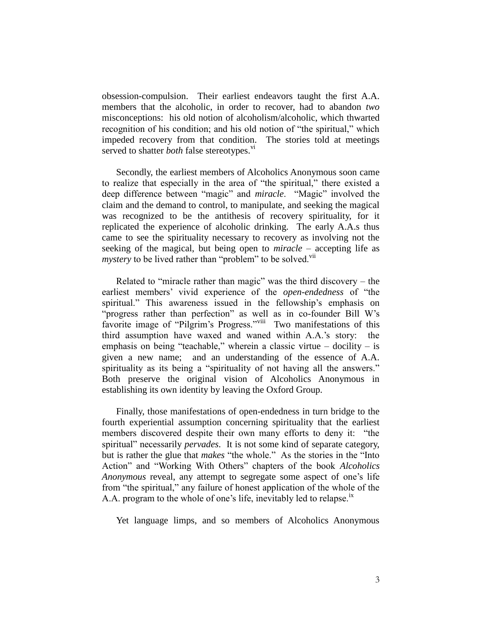obsession-compulsion. Their earliest endeavors taught the first A.A. members that the alcoholic, in order to recover, had to abandon *two* misconceptions: his old notion of alcoholism/alcoholic, which thwarted recognition of his condition; and his old notion of "the spiritual," which impeded recovery from that condition. The stories told at meetings served to shatter *both* false stereotypes.<sup>v1</sup>

Secondly, the earliest members of Alcoholics Anonymous soon came to realize that especially in the area of "the spiritual," there existed a deep difference between "magic" and *miracle*. "Magic" involved the claim and the demand to control, to manipulate, and seeking the magical was recognized to be the antithesis of recovery spirituality, for it replicated the experience of alcoholic drinking. The early A.A.s thus came to see the spirituality necessary to recovery as involving not the seeking of the magical, but being open to *miracle* – accepting life as *mystery* to be lived rather than "problem" to be solved.<sup>vii</sup>

Related to "miracle rather than magic" was the third discovery – the earliest members' vivid experience of the *open-endedness* of "the spiritual." This awareness issued in the fellowship's emphasis on "progress rather than perfection" as well as in co-founder Bill W's favorite image of "Pilgrim's Progress."<sup>viii</sup> Two manifestations of this third assumption have waxed and waned within A.A.'s story: the emphasis on being "teachable," wherein a classic virtue  $-$  docility  $-$  is given a new name; and an understanding of the essence of A.A. spirituality as its being a "spirituality of not having all the answers." Both preserve the original vision of Alcoholics Anonymous in establishing its own identity by leaving the Oxford Group.

Finally, those manifestations of open-endedness in turn bridge to the fourth experiential assumption concerning spirituality that the earliest members discovered despite their own many efforts to deny it: "the spiritual" necessarily *pervades*. It is not some kind of separate category, but is rather the glue that *makes* "the whole." As the stories in the "Into Action" and "Working With Others" chapters of the book *Alcoholics Anonymous* reveal, any attempt to segregate some aspect of one's life from "the spiritual," any failure of honest application of the whole of the A.A. program to the whole of one's life, inevitably led to relapse.<sup>ix</sup>

Yet language limps, and so members of Alcoholics Anonymous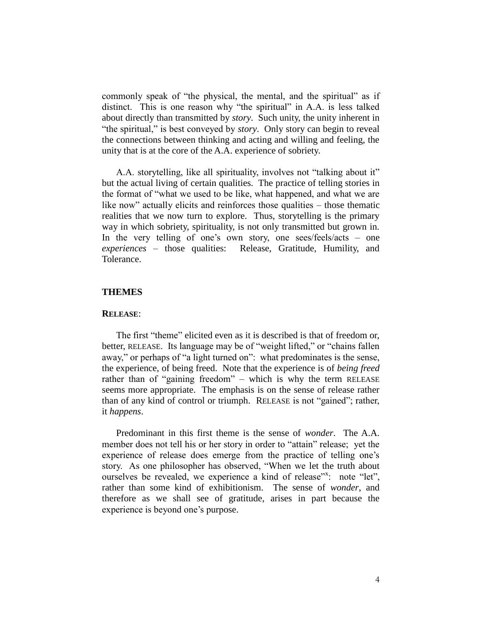commonly speak of "the physical, the mental, and the spiritual" as if distinct. This is one reason why "the spiritual" in A.A. is less talked about directly than transmitted by *story*. Such unity, the unity inherent in "the spiritual," is best conveyed by *story*. Only story can begin to reveal the connections between thinking and acting and willing and feeling, the unity that is at the core of the A.A. experience of sobriety.

A.A. storytelling, like all spirituality, involves not "talking about it" but the actual living of certain qualities. The practice of telling stories in the format of "what we used to be like, what happened, and what we are like now" actually elicits and reinforces those qualities – those thematic realities that we now turn to explore. Thus, storytelling is the primary way in which sobriety, spirituality, is not only transmitted but grown in. In the very telling of one's own story, one sees/feels/acts – one *experiences* – those qualities: Release, Gratitude, Humility, and Tolerance.

# **THEMES**

### **RELEASE**:

The first "theme" elicited even as it is described is that of freedom or, better, RELEASE. Its language may be of "weight lifted," or "chains fallen away," or perhaps of "a light turned on": what predominates is the sense, the experience, of being freed. Note that the experience is of *being freed* rather than of "gaining freedom" – which is why the term RELEASE seems more appropriate. The emphasis is on the sense of release rather than of any kind of control or triumph. RELEASE is not "gained"; rather, it *happens*.

Predominant in this first theme is the sense of *wonder*. The A.A. member does not tell his or her story in order to "attain" release; yet the experience of release does emerge from the practice of telling one's story. As one philosopher has observed, "When we let the truth about ourselves be revealed, we experience a kind of release"x: note "let", rather than some kind of exhibitionism. The sense of *wonder*, and therefore as we shall see of gratitude, arises in part because the experience is beyond one's purpose.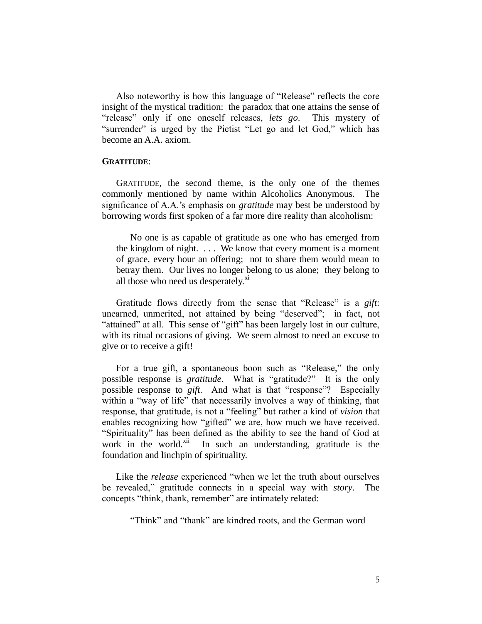Also noteworthy is how this language of "Release" reflects the core insight of the mystical tradition: the paradox that one attains the sense of "release" only if one oneself releases, *lets go*. This mystery of "surrender" is urged by the Pietist "Let go and let God," which has become an A.A. axiom.

### **GRATITUDE**:

GRATITUDE, the second theme, is the only one of the themes commonly mentioned by name within Alcoholics Anonymous. The significance of A.A.'s emphasis on *gratitude* may best be understood by borrowing words first spoken of a far more dire reality than alcoholism:

No one is as capable of gratitude as one who has emerged from the kingdom of night. . . . We know that every moment is a moment of grace, every hour an offering; not to share them would mean to betray them. Our lives no longer belong to us alone; they belong to all those who need us desperately.<sup>xi</sup>

Gratitude flows directly from the sense that "Release" is a *gift*: unearned, unmerited, not attained by being "deserved"; in fact, not "attained" at all. This sense of "gift" has been largely lost in our culture, with its ritual occasions of giving. We seem almost to need an excuse to give or to receive a gift!

For a true gift, a spontaneous boon such as "Release," the only possible response is *gratitude*. What is "gratitude?" It is the only possible response to *gift*. And what is that "response"? Especially within a "way of life" that necessarily involves a way of thinking, that response, that gratitude, is not a "feeling" but rather a kind of *vision* that enables recognizing how "gifted" we are, how much we have received. "Spirituality" has been defined as the ability to see the hand of God at work in the world.<sup>xii</sup> In such an understanding, gratitude is the foundation and linchpin of spirituality.

Like the *release* experienced "when we let the truth about ourselves be revealed," gratitude connects in a special way with *story*. The concepts "think, thank, remember" are intimately related:

"Think" and "thank" are kindred roots, and the German word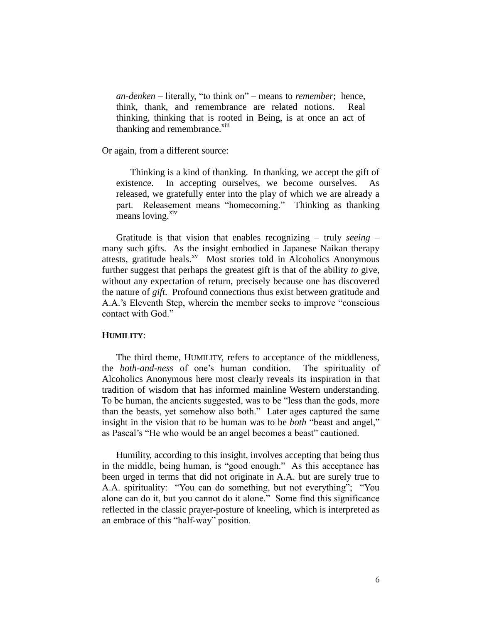*an-denken* – literally, "to think on" – means to *remember*; hence, think, thank, and remembrance are related notions. Real thinking, thinking that is rooted in Being, is at once an act of thanking and remembrance.<sup>xiii</sup>

Or again, from a different source:

Thinking is a kind of thanking. In thanking, we accept the gift of existence. In accepting ourselves, we become ourselves. As released, we gratefully enter into the play of which we are already a part. Releasement means "homecoming." Thinking as thanking means loving.<sup>xiv</sup>

Gratitude is that vision that enables recognizing – truly *seeing* – many such gifts. As the insight embodied in Japanese Naikan therapy attests, gratitude heals.<sup>xv</sup> Most stories told in Alcoholics Anonymous further suggest that perhaps the greatest gift is that of the ability *to* give, without any expectation of return, precisely because one has discovered the nature of *gift*. Profound connections thus exist between gratitude and A.A.'s Eleventh Step, wherein the member seeks to improve "conscious contact with God."

# **HUMILITY**:

The third theme, HUMILITY, refers to acceptance of the middleness, the *both-and-ness* of one's human condition. The spirituality of Alcoholics Anonymous here most clearly reveals its inspiration in that tradition of wisdom that has informed mainline Western understanding. To be human, the ancients suggested, was to be "less than the gods, more than the beasts, yet somehow also both." Later ages captured the same insight in the vision that to be human was to be *both* "beast and angel," as Pascal's "He who would be an angel becomes a beast" cautioned.

Humility, according to this insight, involves accepting that being thus in the middle, being human, is "good enough." As this acceptance has been urged in terms that did not originate in A.A. but are surely true to A.A. spirituality: "You can do something, but not everything"; "You alone can do it, but you cannot do it alone." Some find this significance reflected in the classic prayer-posture of kneeling, which is interpreted as an embrace of this "half-way" position.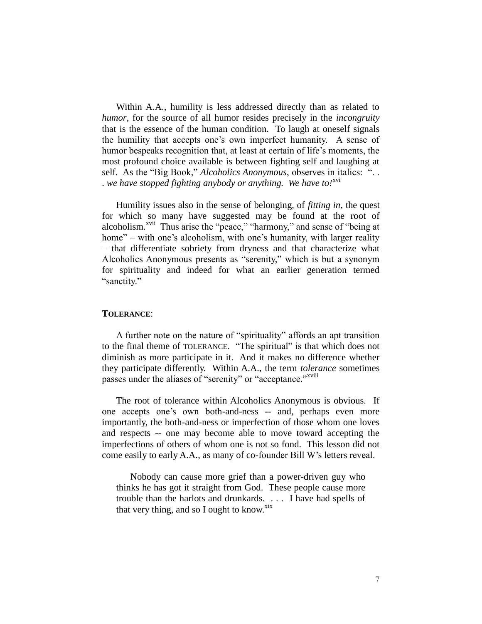Within A.A., humility is less addressed directly than as related to *humor*, for the source of all humor resides precisely in the *incongruity* that is the essence of the human condition. To laugh at oneself signals the humility that accepts one's own imperfect humanity. A sense of humor bespeaks recognition that, at least at certain of life's moments, the most profound choice available is between fighting self and laughing at self. As the "Big Book," *Alcoholics Anonymous*, observes in italics: ". . . *we have stopped fighting anybody or anything. We have to!*xvi

Humility issues also in the sense of belonging, of *fitting in*, the quest for which so many have suggested may be found at the root of alcoholism.<sup>xvii</sup> Thus arise the "peace," "harmony," and sense of "being at home" – with one's alcoholism, with one's humanity, with larger reality – that differentiate sobriety from dryness and that characterize what Alcoholics Anonymous presents as "serenity," which is but a synonym for spirituality and indeed for what an earlier generation termed "sanctity."

### **TOLERANCE**:

A further note on the nature of "spirituality" affords an apt transition to the final theme of TOLERANCE. "The spiritual" is that which does not diminish as more participate in it. And it makes no difference whether they participate differently. Within A.A., the term *tolerance* sometimes passes under the aliases of "serenity" or "acceptance."<sup>xviii</sup>

The root of tolerance within Alcoholics Anonymous is obvious. If one accepts one's own both-and-ness -- and, perhaps even more importantly, the both-and-ness or imperfection of those whom one loves and respects -- one may become able to move toward accepting the imperfections of others of whom one is not so fond. This lesson did not come easily to early A.A., as many of co-founder Bill W's letters reveal.

Nobody can cause more grief than a power-driven guy who thinks he has got it straight from God. These people cause more trouble than the harlots and drunkards. . . . I have had spells of that very thing, and so I ought to know. $x$ <sup>xix</sup>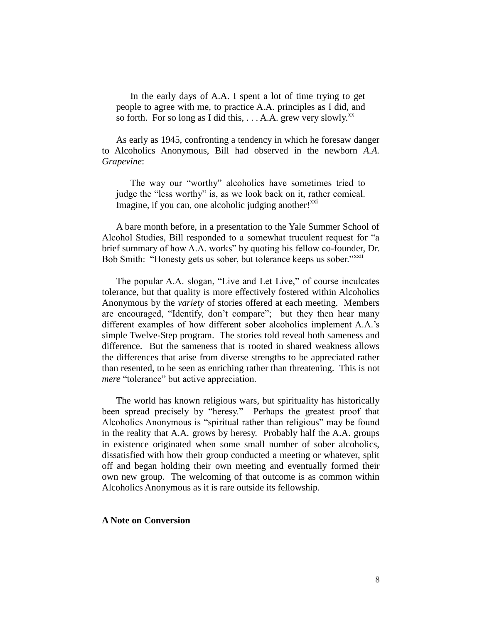In the early days of A.A. I spent a lot of time trying to get people to agree with me, to practice A.A. principles as I did, and so forth. For so long as I did this,  $\ldots$  A.A. grew very slowly.<sup>xx</sup>

As early as 1945, confronting a tendency in which he foresaw danger to Alcoholics Anonymous, Bill had observed in the newborn *A.A. Grapevine*:

The way our "worthy" alcoholics have sometimes tried to judge the "less worthy" is, as we look back on it, rather comical. Imagine, if you can, one alcoholic judging another! $^{XX1}$ 

A bare month before, in a presentation to the Yale Summer School of Alcohol Studies, Bill responded to a somewhat truculent request for "a brief summary of how A.A. works" by quoting his fellow co-founder, Dr. Bob Smith: "Honesty gets us sober, but tolerance keeps us sober."<sup>XXII</sup>

The popular A.A. slogan, "Live and Let Live," of course inculcates tolerance, but that quality is more effectively fostered within Alcoholics Anonymous by the *variety* of stories offered at each meeting. Members are encouraged, "Identify, don't compare"; but they then hear many different examples of how different sober alcoholics implement A.A.'s simple Twelve-Step program. The stories told reveal both sameness and difference. But the sameness that is rooted in shared weakness allows the differences that arise from diverse strengths to be appreciated rather than resented, to be seen as enriching rather than threatening. This is not *mere* "tolerance" but active appreciation.

The world has known religious wars, but spirituality has historically been spread precisely by "heresy." Perhaps the greatest proof that Alcoholics Anonymous is "spiritual rather than religious" may be found in the reality that A.A. grows by heresy. Probably half the A.A. groups in existence originated when some small number of sober alcoholics, dissatisfied with how their group conducted a meeting or whatever, split off and began holding their own meeting and eventually formed their own new group. The welcoming of that outcome is as common within Alcoholics Anonymous as it is rare outside its fellowship.

### **A Note on Conversion**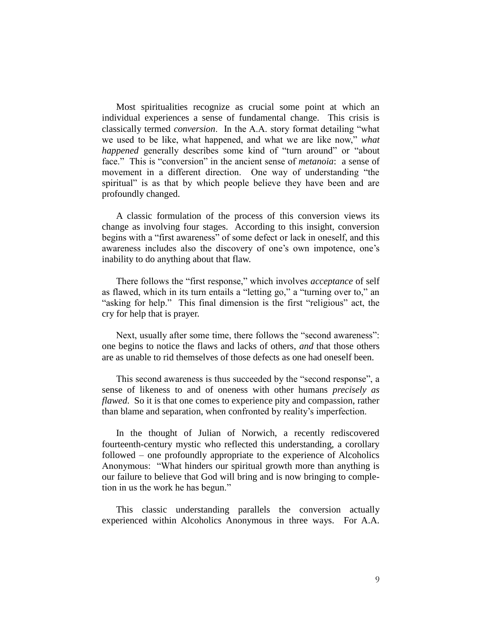Most spiritualities recognize as crucial some point at which an individual experiences a sense of fundamental change. This crisis is classically termed *conversion*. In the A.A. story format detailing "what we used to be like, what happened, and what we are like now," *what happened* generally describes some kind of "turn around" or "about face." This is "conversion" in the ancient sense of *metanoia*: a sense of movement in a different direction. One way of understanding "the spiritual" is as that by which people believe they have been and are profoundly changed.

A classic formulation of the process of this conversion views its change as involving four stages. According to this insight, conversion begins with a "first awareness" of some defect or lack in oneself, and this awareness includes also the discovery of one's own impotence, one's inability to do anything about that flaw.

There follows the "first response," which involves *acceptance* of self as flawed, which in its turn entails a "letting go," a "turning over to," an "asking for help." This final dimension is the first "religious" act, the cry for help that is prayer.

Next, usually after some time, there follows the "second awareness": one begins to notice the flaws and lacks of others, *and* that those others are as unable to rid themselves of those defects as one had oneself been.

This second awareness is thus succeeded by the "second response", a sense of likeness to and of oneness with other humans *precisely as flawed*. So it is that one comes to experience pity and compassion, rather than blame and separation, when confronted by reality's imperfection.

In the thought of Julian of Norwich, a recently rediscovered fourteenth-century mystic who reflected this understanding, a corollary followed – one profoundly appropriate to the experience of Alcoholics Anonymous: "What hinders our spiritual growth more than anything is our failure to believe that God will bring and is now bringing to completion in us the work he has begun."

This classic understanding parallels the conversion actually experienced within Alcoholics Anonymous in three ways. For A.A.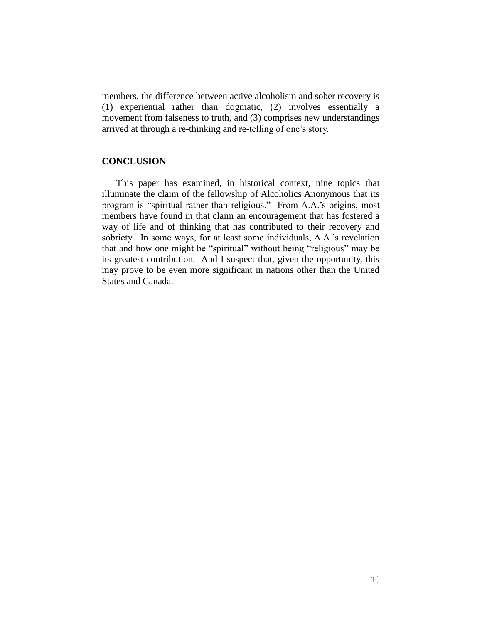members, the difference between active alcoholism and sober recovery is (1) experiential rather than dogmatic, (2) involves essentially a movement from falseness to truth, and (3) comprises new understandings arrived at through a re-thinking and re-telling of one's story.

### **CONCLUSION**

This paper has examined, in historical context, nine topics that illuminate the claim of the fellowship of Alcoholics Anonymous that its program is "spiritual rather than religious." From A.A.'s origins, most members have found in that claim an encouragement that has fostered a way of life and of thinking that has contributed to their recovery and sobriety. In some ways, for at least some individuals, A.A.'s revelation that and how one might be "spiritual" without being "religious" may be its greatest contribution. And I suspect that, given the opportunity, this may prove to be even more significant in nations other than the United States and Canada.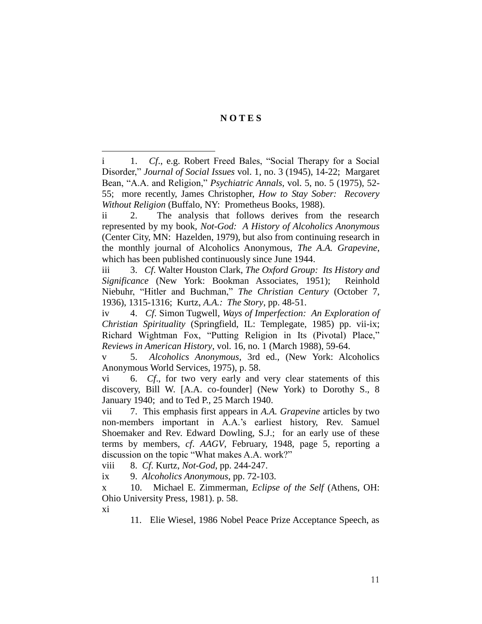# **N O T E S**

i 1. *Cf*., e.g. Robert Freed Bales, "Social Therapy for a Social Disorder," *Journal of Social Issues* vol. 1, no. 3 (1945), 14-22; Margaret Bean, "A.A. and Religion," *Psychiatric Annals*, vol. 5, no. 5 (1975), 52- 55; more recently, James Christopher, *How to Stay Sober: Recovery Without Religion* (Buffalo, NY: Prometheus Books, 1988).

ii 2. The analysis that follows derives from the research represented by my book, *Not-God: A History of Alcoholics Anonymous* (Center City, MN: Hazelden, 1979), but also from continuing research in the monthly journal of Alcoholics Anonymous, *The A.A. Grapevine*, which has been published continuously since June 1944.

iii 3. *Cf*. Walter Houston Clark, *The Oxford Group: Its History and Significance* (New York: Bookman Associates, 1951); Reinhold Niebuhr, "Hitler and Buchman," *The Christian Century* (October 7, 1936), 1315-1316; Kurtz, *A.A.: The Story*, pp. 48-51.

iv 4. *Cf*. Simon Tugwell, *Ways of Imperfection: An Exploration of Christian Spirituality* (Springfield, IL: Templegate, 1985) pp. vii-ix; Richard Wightman Fox, "Putting Religion in Its (Pivotal) Place," *Reviews in American History*, vol. 16, no. 1 (March 1988), 59-64.

v 5. *Alcoholics Anonymous*, 3rd ed., (New York: Alcoholics Anonymous World Services, 1975), p. 58.

vi 6. *Cf*., for two very early and very clear statements of this discovery, Bill W. [A.A. co-founder] (New York) to Dorothy S., 8 January 1940; and to Ted P., 25 March 1940.

vii 7. This emphasis first appears in *A.A. Grapevine* articles by two non-members important in A.A.'s earliest history, Rev. Samuel Shoemaker and Rev. Edward Dowling, S.J.; for an early use of these terms by members, *cf*. *AAGV*, February, 1948, page 5, reporting a discussion on the topic "What makes A.A. work?"

viii 8. *Cf*. Kurtz, *Not-God*, pp. 244-247.

ix 9. *Alcoholics Anonymous*, pp. 72-103.

x 10. Michael E. Zimmerman, *Eclipse of the Self* (Athens, OH: Ohio University Press, 1981). p. 58.

xi

 $\overline{a}$ 

11. Elie Wiesel, 1986 Nobel Peace Prize Acceptance Speech, as